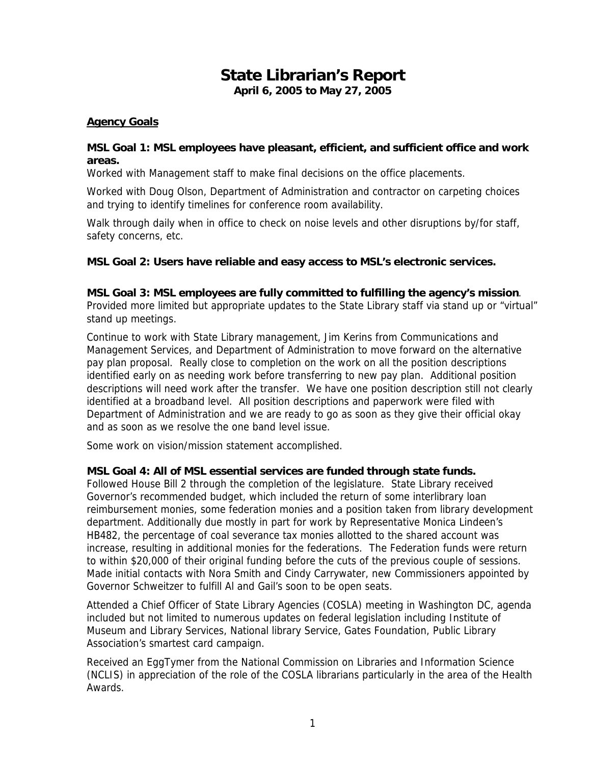# **State Librarian's Report April 6, 2005 to May 27, 2005**

### **Agency Goals**

### **MSL Goal 1: MSL employees have pleasant, efficient, and sufficient office and work areas.**

Worked with Management staff to make final decisions on the office placements.

Worked with Doug Olson, Department of Administration and contractor on carpeting choices and trying to identify timelines for conference room availability.

Walk through daily when in office to check on noise levels and other disruptions by/for staff, safety concerns, etc.

### **MSL Goal 2: Users have reliable and easy access to MSL's electronic services.**

### **MSL Goal 3: MSL employees are fully committed to fulfilling the agency's mission**.

Provided more limited but appropriate updates to the State Library staff via stand up or "virtual" stand up meetings.

Continue to work with State Library management, Jim Kerins from Communications and Management Services, and Department of Administration to move forward on the alternative pay plan proposal. Really close to completion on the work on all the position descriptions identified early on as needing work before transferring to new pay plan. Additional position descriptions will need work after the transfer. We have one position description still not clearly identified at a broadband level. All position descriptions and paperwork were filed with Department of Administration and we are ready to go as soon as they give their official okay and as soon as we resolve the one band level issue.

Some work on vision/mission statement accomplished.

### **MSL Goal 4: All of MSL essential services are funded through state funds.**

Followed House Bill 2 through the completion of the legislature. State Library received Governor's recommended budget, which included the return of some interlibrary loan reimbursement monies, some federation monies and a position taken from library development department. Additionally due mostly in part for work by Representative Monica Lindeen's HB482, the percentage of coal severance tax monies allotted to the shared account was increase, resulting in additional monies for the federations. The Federation funds were return to within \$20,000 of their original funding before the cuts of the previous couple of sessions. Made initial contacts with Nora Smith and Cindy Carrywater, new Commissioners appointed by Governor Schweitzer to fulfill Al and Gail's soon to be open seats.

Attended a Chief Officer of State Library Agencies (COSLA) meeting in Washington DC, agenda included but not limited to numerous updates on federal legislation including Institute of Museum and Library Services, National library Service, Gates Foundation, Public Library Association's smartest card campaign.

Received an EggTymer from the National Commission on Libraries and Information Science (NCLIS) in appreciation of the role of the COSLA librarians particularly in the area of the Health Awards.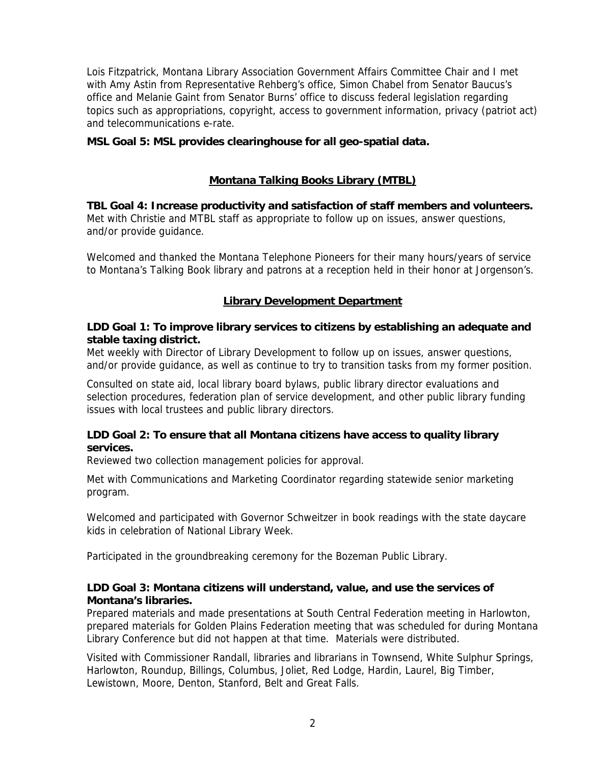Lois Fitzpatrick, Montana Library Association Government Affairs Committee Chair and I met with Amy Astin from Representative Rehberg's office, Simon Chabel from Senator Baucus's office and Melanie Gaint from Senator Burns' office to discuss federal legislation regarding topics such as appropriations, copyright, access to government information, privacy (patriot act) and telecommunications e-rate.

# **MSL Goal 5: MSL provides clearinghouse for all geo-spatial data.**

# **Montana Talking Books Library (MTBL)**

**TBL Goal 4: Increase productivity and satisfaction of staff members and volunteers.** Met with Christie and MTBL staff as appropriate to follow up on issues, answer questions, and/or provide guidance.

Welcomed and thanked the Montana Telephone Pioneers for their many hours/years of service to Montana's Talking Book library and patrons at a reception held in their honor at Jorgenson's.

# **Library Development Department**

# **LDD Goal 1: To improve library services to citizens by establishing an adequate and stable taxing district.**

Met weekly with Director of Library Development to follow up on issues, answer questions, and/or provide guidance, as well as continue to try to transition tasks from my former position.

Consulted on state aid, local library board bylaws, public library director evaluations and selection procedures, federation plan of service development, and other public library funding issues with local trustees and public library directors.

# **LDD Goal 2: To ensure that all Montana citizens have access to quality library services.**

Reviewed two collection management policies for approval.

Met with Communications and Marketing Coordinator regarding statewide senior marketing program.

Welcomed and participated with Governor Schweitzer in book readings with the state daycare kids in celebration of National Library Week.

Participated in the groundbreaking ceremony for the Bozeman Public Library.

# **LDD Goal 3: Montana citizens will understand, value, and use the services of Montana's libraries.**

Prepared materials and made presentations at South Central Federation meeting in Harlowton, prepared materials for Golden Plains Federation meeting that was scheduled for during Montana Library Conference but did not happen at that time. Materials were distributed.

Visited with Commissioner Randall, libraries and librarians in Townsend, White Sulphur Springs, Harlowton, Roundup, Billings, Columbus, Joliet, Red Lodge, Hardin, Laurel, Big Timber, Lewistown, Moore, Denton, Stanford, Belt and Great Falls.